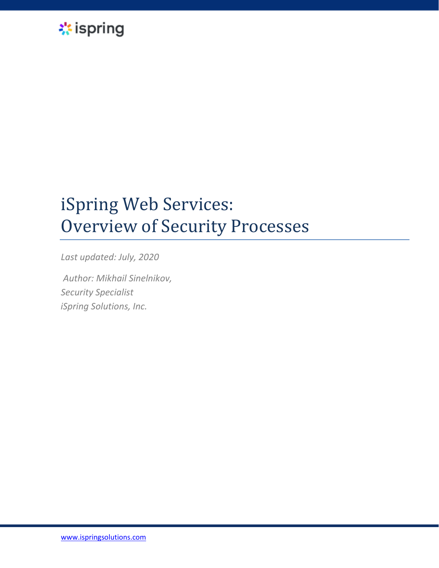

# iSpring Web Services: Overview of Security Processes

*Last updated: July, 2020*

*Author: Mikhail Sinelnikov, Security Specialist iSpring Solutions, Inc.*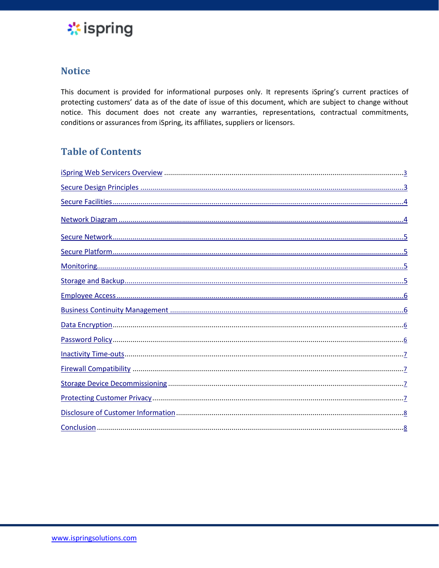

## **Notice**

This document is provided for informational purposes only. It represents iSpring's current practices of protecting customers' data as of the date of issue of this document, which are subject to change without notice. This document does not create any warranties, representations, contractual commitments, conditions or assurances from iSpring, its affiliates, suppliers or licensors.

## **Table of Contents**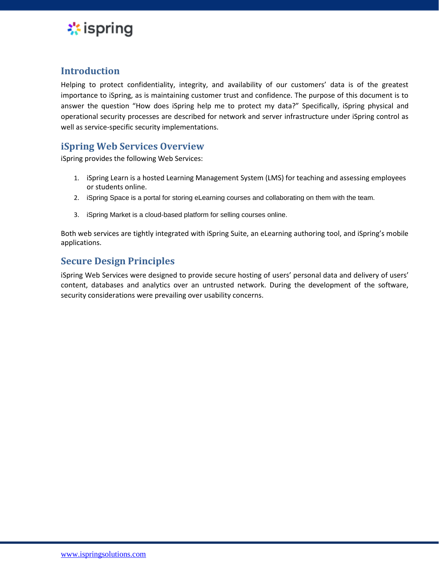

#### <span id="page-2-0"></span>**Introduction**

Helping to protect confidentiality, integrity, and availability of our customers' data is of the greatest importance to iSpring, as is maintaining customer trust and confidence. The purpose of this document is to answer the question "How does iSpring help me to protect my data?" Specifically, iSpring physical and operational security processes are described for network and server infrastructure under iSpring control as well as service-specific security implementations.

### **iSpring Web Services Overview**

iSpring provides the following Web Services:

- 1. iSpring Learn is a hosted Learning Management System (LMS) for teaching and assessing employees or students online.
- 2. iSpring Space is a portal for storing eLearning courses and collaborating on them with the team.
- 3. iSpring Market is a cloud-based platform for selling courses online.

Both web services are tightly integrated with iSpring Suite, an eLearning authoring tool, and iSpring's mobile applications.

## **Secure Design Principles**

iSpring Web Services were designed to provide secure hosting of users' personal data and delivery of users' content, databases and analytics over an untrusted network. During the development of the software, security considerations were prevailing over usability concerns.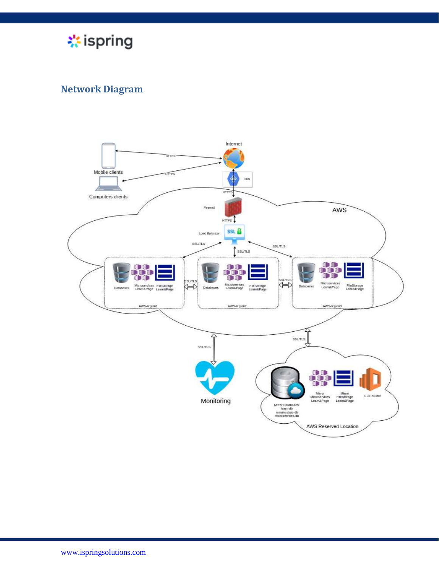

## **Network Diagram**

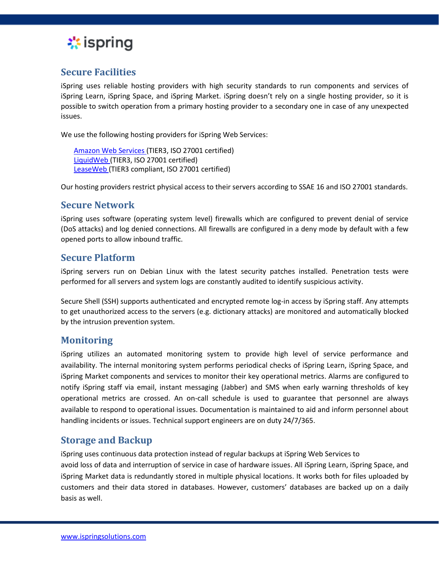

#### **Secure Facilities**

iSpring uses reliable hosting providers with high security standards to run components and services of iSpring Learn, iSpring Space, and iSpring Market. iSpring doesn't rely on a single hosting provider, so it is possible to switch operation from a primary hosting provider to a secondary one in case of any unexpected issues.

We use the following hosting providers for iSpring Web Services:

[Amazon Web Services \(](http://aws.amazon.com/security/)TIER3, ISO 27001 certified) LiquidWeb [\(](http://aws.amazon.com/security/)TIER3, ISO 27001 certified) LeaseWe[b](http://aws.amazon.com/security/) (TIER3 compliant, ISO 27001 certified)

Our hosting providers restrict physical access to their servers according to SSAE 16 and ISO 27001 standards.

#### **Secure Network**

iSpring uses software (operating system level) firewalls which are configured to prevent denial of service (DoS attacks) and log denied connections. All firewalls are configured in a deny mode by default with a few opened ports to allow inbound traffic.

#### **Secure Platform**

iSpring servers run on Debian Linux with the latest security patches installed. Penetration tests were performed for all servers and system logs are constantly audited to identify suspicious activity.

Secure Shell (SSH) supports authenticated and encrypted remote log-in access by iSpring staff. Any attempts to get unauthorized access to the servers (e.g. dictionary attacks) are monitored and automatically blocked by the intrusion prevention system.

#### **Monitoring**

iSpring utilizes an automated monitoring system to provide high level of service performance and availability. The internal monitoring system performs periodical checks of iSpring Learn, iSpring Space, and iSpring Market components and services to monitor their key operational metrics. Alarms are configured to notify iSpring staff via email, instant messaging (Jabber) and SMS when early warning thresholds of key operational metrics are crossed. An on-call schedule is used to guarantee that personnel are always available to respond to operational issues. Documentation is maintained to aid and inform personnel about handling incidents or issues. Technical support engineers are on duty 24/7/365.

#### **Storage and Backup**

iSpring uses continuous data protection instead of regular backups at iSpring Web Services to avoid loss of data and interruption of service in case of hardware issues. All iSpring Learn, iSpring Space, and iSpring Market data is redundantly stored in multiple physical locations. It works both for files uploaded by customers and their data stored in databases. However, customers' databases are backed up on a daily basis as well.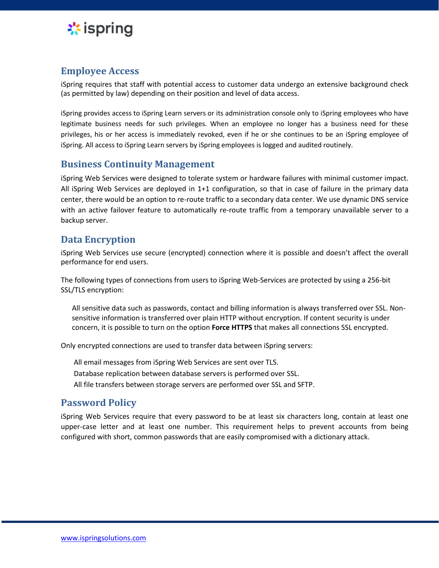<span id="page-5-0"></span>

## **Employee Access**

iSpring requires that staff with potential access to customer data undergo an extensive background check (as permitted by law) depending on their position and level of data access.

iSpring provides access to iSpring Learn servers or its administration console only to iSpring employees who have legitimate business needs for such privileges. When an employee no longer has a business need for these privileges, his or her access is immediately revoked, even if he or she continues to be an iSpring employee of iSpring. All access to iSpring Learn servers by iSpring employees is logged and audited routinely.

#### **Business Continuity Management**

iSpring Web Services were designed to tolerate system or hardware failures with minimal customer impact. All iSpring Web Services are deployed in 1+1 configuration, so that in case of failure in the primary data center, there would be an option to re-route traffic to a secondary data center. We use dynamic DNS service with an active failover feature to automatically re-route traffic from a temporary unavailable server to a backup server.

## **Data Encryption**

iSpring Web Services use secure (encrypted) connection where it is possible and doesn't affect the overall performance for end users.

The following types of connections from users to iSpring Web-Services are protected by using a 256-bit SSL/TLS encryption:

All sensitive data such as passwords, contact and billing information is always transferred over SSL. Nonsensitive information is transferred over plain HTTP without encryption. If content security is under concern, it is possible to turn on the option **Force HTTPS** that makes all connections SSL encrypted.

Only encrypted connections are used to transfer data between iSpring servers:

All email messages from iSpring Web Services are sent over TLS. Database replication between database servers is performed over SSL. All file transfers between storage servers are performed over SSL and SFTP.

## **Password Policy**

iSpring Web Services require that every password to be at least six characters long, contain at least one upper-case letter and at least one number. This requirement helps to prevent accounts from being configured with short, common passwords that are easily compromised with a dictionary attack.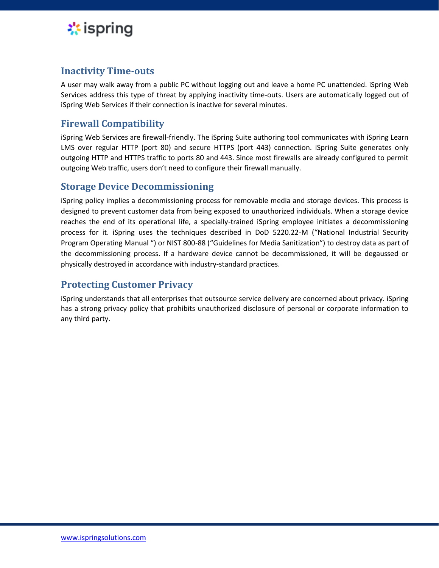<span id="page-6-0"></span>

## **Inactivity Time-outs**

A user may walk away from a public PC without logging out and leave a home PC unattended. iSpring Web Services address this type of threat by applying inactivity time-outs. Users are automatically logged out of iSpring Web Services if their connection is inactive for several minutes.

## **Firewall Compatibility**

iSpring Web Services are firewall-friendly. The iSpring Suite authoring tool communicates with iSpring Learn LMS over regular HTTP (port 80) and secure HTTPS (port 443) connection. iSpring Suite generates only outgoing HTTP and HTTPS traffic to ports 80 and 443. Since most firewalls are already configured to permit outgoing Web traffic, users don't need to configure their firewall manually.

## **Storage Device Decommissioning**

iSpring policy implies a decommissioning process for removable media and storage devices. This process is designed to prevent customer data from being exposed to unauthorized individuals. When a storage device reaches the end of its operational life, a specially-trained iSpring employee initiates a decommissioning process for it. iSpring uses the techniques described in DoD 5220.22-M ("National Industrial Security Program Operating Manual ") or NIST 800-88 ("Guidelines for Media Sanitization") to destroy data as part of the decommissioning process. If a hardware device cannot be decommissioned, it will be degaussed or physically destroyed in accordance with industry-standard practices.

#### **Protecting Customer Privacy**

iSpring understands that all enterprises that outsource service delivery are concerned about privacy. iSpring has a strong privacy policy that prohibits unauthorized disclosure of personal or corporate information to any third party.